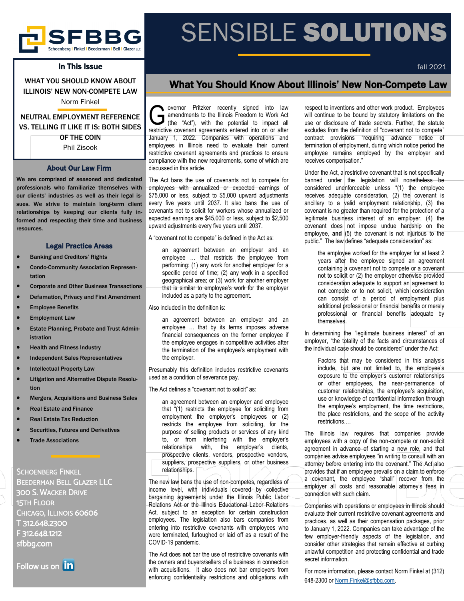

# In This Issue

WHAT YOU SHOULD KNOW ABOUT ILLINOIS' NEW NON-COMPETE LAW Norm Finkel

# NEUTRAL EMPLOYMENT REFERENCE VS. TELLING IT LIKE IT IS: BOTH SIDES OF THE COIN Phil Zisook

## About Our Law Firm

We are comprised of seasoned and dedicated professionals who familiarize themselves with our clients' industries as well as their legal issues. We strive to maintain long-term client relationships by keeping our clients fully informed and respecting their time and business resources.

#### Legal Practice Areas

- Banking and Creditors' Rights
- Condo-Community Association Representation
- Corporate and Other Business Transactions
- Defamation, Privacy and First Amendment
- **Employee Benefits**
- **Employment Law**
- Estate Planning, Probate and Trust Administration
- Health and Fitness Industry
- Independent Sales Representatives
- **Intellectual Property Law**
- Litigation and Alternative Dispute Resolution
- Mergers, Acquisitions and Business Sales
- Real Estate and Finance
- Real Estate Tax Reduction
- **Securities, Futures and Derivatives**
- **Trade Associations**

SCHOENBERG FINKEL BEEDERMAN BELL GLAZER LLC 300 S. WACKER DRIVE 15TH FLOOR CHICAGO, ILLINOIS 60606 T 312.648.2300 F 312.648.1212 sfbbg.com



# SENSIBLE SOLUTIONS

fall 2021

# What You Should Know About Illinois' New Non-Compete Law

Gevernor Pritzker recently signed into law amendments to the Illinois Freedom to Work Act (the "Act"), with the potential to impact all restrictive covenant agreements entered into on or after overnor Pritzker recently signed into law amendments to the Illinois Freedom to Work Act (the "Act"), with the potential to impact all January 1, 2022. Companies with operations and employees in Illinois need to evaluate their current restrictive covenant agreements and practices to ensure compliance with the new requirements, some of which are discussed in this article.

The Act bans the use of covenants not to compete for employees with annualized or expected earnings of \$75,000 or less, subject to \$5,000 upward adjustments every five years until 2037. It also bans the use of covenants not to solicit for workers whose annualized or expected earnings are \$45,000 or less, subject to \$2,500 upward adjustments every five years until 2037.

A "covenant not to compete" is defined in the Act as:

an agreement between an employer and an employee … that restricts the employee from performing: (1) any work for another employer for a specific period of time; (2) any work in a specified geographical area; or (3) work for another employer that is similar to employee's work for the employer included as a party to the agreement.

Also included in the definition is:

an agreement between an employer and an employee … that by its terms imposes adverse financial consequences on the former employee if the employee engages in competitive activities after the termination of the employee's employment with the employer.

Presumably this definition includes restrictive covenants used as a condition of severance pay.

The Act defines a "covenant not to solicit" as:

an agreement between an employer and employee that "(1) restricts the employee for soliciting from employment the employer's employees or (2) restricts the employee from soliciting, for the purpose of selling products or services of any kind to, or from interfering with the employer's relationships with, the employer's clients, prospective clients, vendors, prospective vendors, suppliers, prospective suppliers, or other business relationships.

The new law bans the use of non-competes, regardless of income level, with individuals covered by collective bargaining agreements under the Illinois Public Labor Relations Act or the Illinois Educational Labor Relations Act, subject to an exception for certain construction employees. The legislation also bars companies from entering into restrictive covenants with employees who were terminated, furloughed or laid off as a result of the COVID-19 pandemic.

The Act does **not** bar the use of restrictive covenants with the owners and buyers/sellers of a business in connection with acquisitions. It also does not bar employers from enforcing confidentiality restrictions and obligations with

respect to inventions and other work product. Employees will continue to be bound by statutory limitations on the use or disclosure of trade secrets. Further, the statute excludes from the definition of "covenant not to compete" contract provisions "requiring advance notice of termination of employment, during which notice period the

receives compensation."

Under the Act, a restrictive covenant that is not specifically banned under the legislation will nonetheless be considered unenforceable unless "(1) the employee receives adequate consideration,  $(2)$  the covenant is ancillary to a valid employment relationship, (3) the covenant is no greater than required for the protection of a legitimate business interest of an employer, (4) the covenant does not impose undue hardship on the employee, **and** (5) the covenant is not injurious to the public." The law defines "adequate consideration" as:

employee remains employed by the employer and

the employee worked for the employer for at least 2 years after the employee signed an agreement containing a covenant not to compete or a covenant not to solicit or (2) the employer otherwise provided consideration adequate to support an agreement to not compete or to not solicit, which consideration can consist of a period of employment plus additional professional or financial benefits or merely professional or financial benefits adequate by themselves.

In determining the "legitimate business interest" of an employer, "the totality of the facts and circumstances of the individual case should be considered" under the Act:

Factors that may be considered in this analysis include, but are not limited to, the employee's exposure to the employer's customer relationships or other employees, the near-permanence of customer relationships, the employee's acquisition, use or knowledge of confidential information through the employee's employment, the time restrictions, the place restrictions, and the scope of the activity restrictions.…

The Illinois law requires that companies provide employees with a copy of the non-compete or non-solicit agreement in advance of starting a new role, and that companies advise employees "in writing to consult with an attorney before entering into the covenant." The Act also provides that if an employee prevails on a claim to enforce a covenant, the employee "shall" recover from the employer all costs and reasonable attorney's fees in connection with such claim.

Companies with operations or employees in Illinois should evaluate their current restrictive covenant agreements and practices, as well as their compensation packages, prior to January 1, 2022. Companies can take advantage of the few employer-friendly aspects of the legislation, and consider other strategies that remain effective at curbing unlawful competition and protecting confidential and trade secret information.

For more information, please contact Norm Finkel at (312) 648-2300 or [Norm.Finkel@sfbbg.com.](mailto:Norm.Finkel@sfbbg.com)